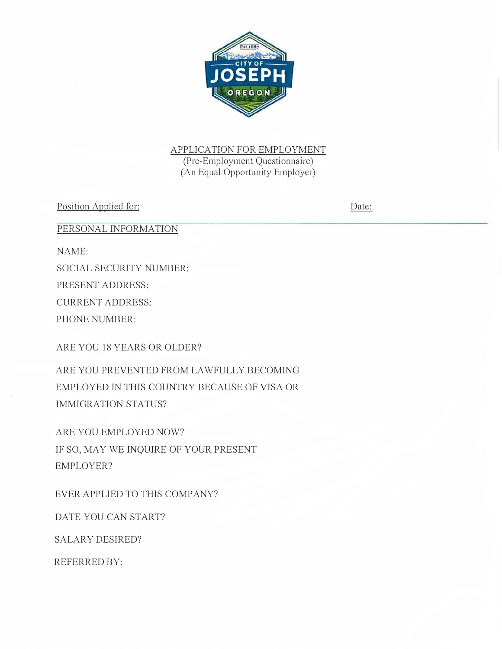

APPLICATION FOR EMPLOYMENT (Pre-Employment Questionnaire) (An Equal Opportunity Employer)

Position Applied for:

Date:

PERSONAL INFORMATION

NAME:

SOCIAL SECURITY NUMBER: PRESENT ADDRESS: CURRENT ADDRESS: PHONE NUMBER:

ARE YOU 18 YEARS OR OLDER?

ARE YOU PREVENTED FROM LAWFULLY BECOMING EMPLOYED IN THIS COUNTRY BECAUSE OF VISA OR IMMIGRATION STATUS?

ARE YOU EMPLOYED NOW? IF SO, MAY WE INQUIRE OF YOUR PRESENT EMPLOYER?

EVER APPLIED TO THIS COMPANY?

DATE YOU CAN START?

SALARY DESIRED?

REFERRED BY: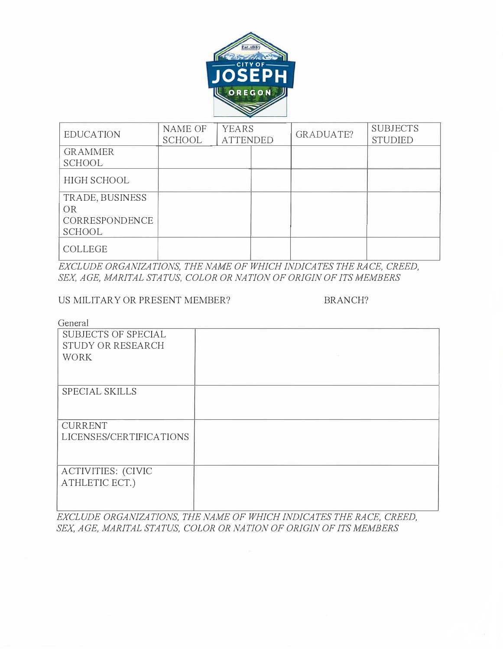

| <b>EDUCATION</b> | <b>NAME OF</b><br>SCHOOL | <b>YEARS</b><br><b>ATTENDED</b> | GRADUATE? | <b>SUBJECTS</b><br><b>STUDIED</b> |
|------------------|--------------------------|---------------------------------|-----------|-----------------------------------|
| <b>GRAMMER</b>   |                          |                                 |           |                                   |
| <b>SCHOOL</b>    |                          |                                 |           |                                   |
| HIGH SCHOOL      |                          |                                 |           |                                   |
| TRADE, BUSINESS  |                          |                                 |           |                                   |
| <b>OR</b>        |                          |                                 |           |                                   |
| CORRESPONDENCE   |                          |                                 |           |                                   |
| <b>SCHOOL</b>    |                          |                                 |           |                                   |
| <b>COLLEGE</b>   |                          |                                 |           |                                   |

**EXCLUDE ORGANIZATIONS, THE NAME OF WHICH INDICATES THE RACE, CREED,** SEX, AGE, MARITAL STATUS, COLOR OR NATION OF ORIGIN OF ITS MEMBERS

#### US MILITARY OR PRESENT MEMBER? BRANCH?

General

| <b>SUBJECTS OF SPECIAL</b><br>STUDY OR RESEARCH<br><b>WORK</b> |  |
|----------------------------------------------------------------|--|
| <b>SPECIAL SKILLS</b>                                          |  |
| <b>CURRENT</b><br>LICENSES/CERTIFICATIONS                      |  |
| <b>ACTIVITIES: (CIVIC</b><br>ATHLETIC ECT.)                    |  |

L *EXCLUDE ORGANIZATIONS, THE NAME OF WHICH INDICATES THE RACE, CREED,*  SEX, AGE, MARITAL STATUS, COLOR OR NATION OF ORIGIN OF ITS MEMBERS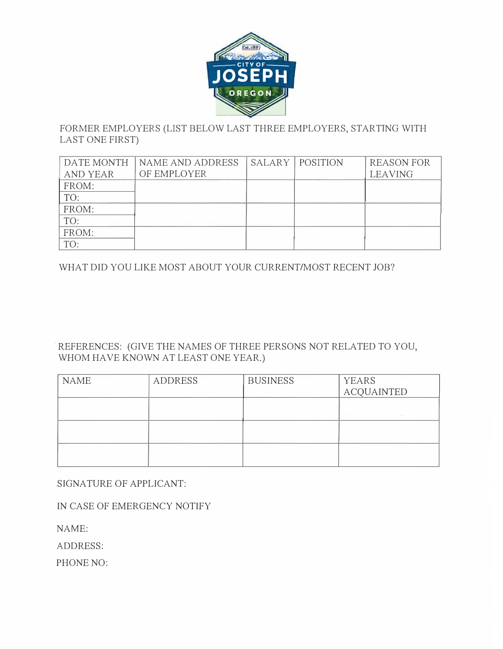

## FORMER EMPLOYERS (LIST BELOW LAST THREE EMPLOYERS, STARTING WITH LAST ONE FIRST)

| DATE MONTH      | NAME AND ADDRESS | <b>SALARY   POSITION</b> | <b>REASON FOR</b> |
|-----------------|------------------|--------------------------|-------------------|
| <b>AND YEAR</b> | OF EMPLOYER      |                          | <b>LEAVING</b>    |
| FROM:           |                  |                          |                   |
| TO:             |                  |                          |                   |
| FROM:           |                  |                          |                   |
| TO:             |                  |                          |                   |
| FROM:           |                  |                          |                   |
| TO:             |                  |                          |                   |

WHAT DID YOU LIKE MOST ABOUT YOUR CURRENT/MOST RECENT JOB?

#### . REFERENCES: (GIVE THE NAMES OF THREE PERSONS NOT RELATED TO YOU, WHOM HAVE KNOWN AT LEAST ONE YEAR.)

| <b>NAME</b>                   | <b>ADDRESS</b>     | <b>BUSINESS</b>    | <b>YEARS</b><br><b>ACQUAINTED</b> |
|-------------------------------|--------------------|--------------------|-----------------------------------|
| the control of the control of | and the company of | and the control of | <b>STATE</b><br><b>STATISTICS</b> |
|                               |                    |                    |                                   |
|                               |                    |                    |                                   |

SIGNATURE OF APPLICANT:

IN CASE OF EMERGENCY NOTIFY

NAME:

ADDRESS:

PHONE NO: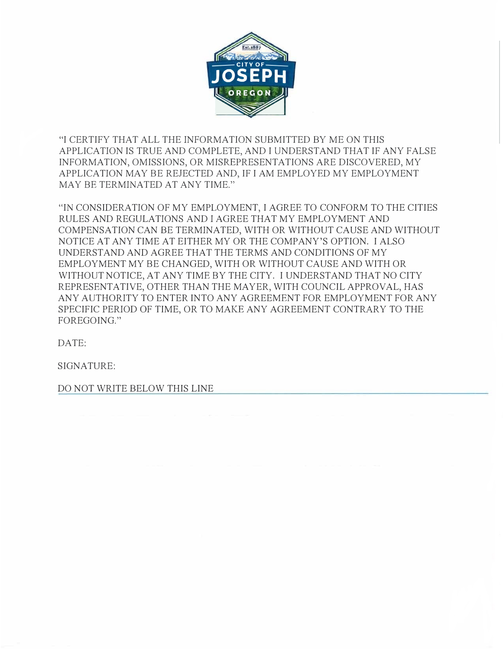

"I CERTIFY THAT ALL THE INFORMATION SUBMITTED BY ME ON THIS APPLICATION IS TRUE AND COMPLETE, AND I UNDERSTAND THAT IF ANY FALSE INFORMATION, OMISSIONS, OR MISREPRESENTATIONS ARE DISCOVERED, MY APPLICATION MAY BE REJECTED AND, IF I AM EMPLOYED MY EMPLOYMENT MAY BE TERMINATED AT ANY TIME."

"IN CONSIDERATION OF MY EMPLOYMENT, I AGREE TO CONFORM TO THE CITIES RULES AND REGULATIONS AND I AGREE THAT MY EMPLOYMENT AND COMPENSATION CAN BE TERMINATED, WITH OR WITHOUT CAUSE AND WITHOUT NOTICE AT ANY TIME AT EITHER MY OR THE COMPANY'S OPTION. I ALSO UNDERSTAND AND AGREE THAT THE TERMS AND CONDITIONS OF MY EMPLOYMENT MY BE CHANGED, WITH OR WITHOUT CAUSE AND WITH OR WITHOUT NOTICE, AT ANY TIME BY THE CITY. I UNDERSTAND THAT NO CITY REPRESENTATIVE, OTHER THAN THE MA YER, WITH COUNCIL APPROVAL, HAS ANY AUTHORITY TO ENTER INTO ANY AGREEMENT FOR EMPLOYMENT FOR ANY SPECIFIC PERIOD OF TIME, OR TO MAKE ANY AGREEMENT CONTRARY TO THE FOR EGOING."

DATE:

SIGNATURE:

DO NOT WRITE BELOW THIS LINE